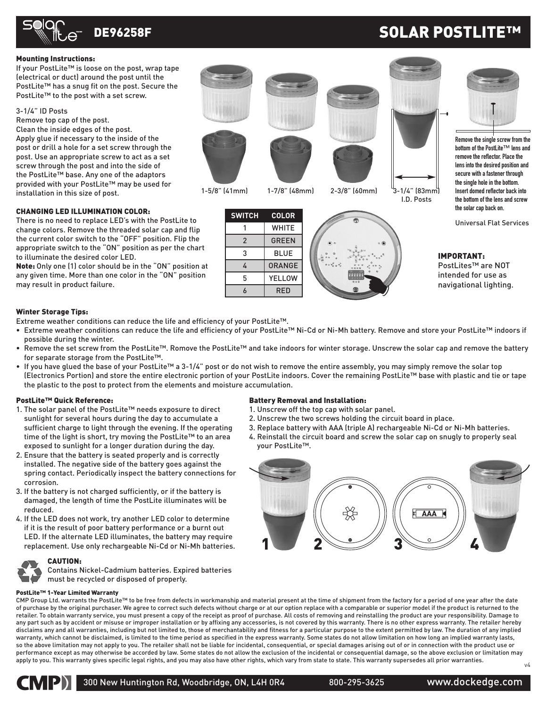

# SOLAR POSTLITE™

### Mounting Instructions:

If your PostLite™ is loose on the post, wrap tape (electrical or duct) around the post until the PostLite™ has a snug fit on the post. Secure the PostLite™ to the post with a set screw.

### 3-1/4" ID Posts

Remove top cap of the post. Clean the inside edges of the post. Apply glue if necessary to the inside of the post or drill a hole for a set screw through the post. Use an appropriate screw to act as a set screw through the post and into the side of the PostLite™ base. Any one of the adaptors provided with your PostLite™ may be used for installation in this size of post.

### CHANGING LED ILLUMINATION COLOR:

There is no need to replace LED's with the PostLite to change colors. Remove the threaded solar cap and flip the current color switch to the "OFF" position. Flip the appropriate switch to the "ON" position as per the chart to illuminate the desired color LED.

Note: Only one (1) color should be in the "ON" position at any given time. More than one color in the "ON" position may result in product failure.

### Winter Storage Tips:

Extreme weather conditions can reduce the life and efficiency of your PostLite™.

• Extreme weather conditions can reduce the life and efficiency of your PostLite™ Ni-Cd or Ni-Mh battery. Remove and store your PostLite™ indoors if possible during the winter.

**SWITCH COLOR** 1 WHITE 2 GREEN  $3$  BLUE 4 ORANGE 5 YELLOW

- Remove the set screw from the PostLite™. Romove the PostLite™ and take indoors for winter storage. Unscrew the solar cap and remove the battery for separate storage from the PostLite™.
- If you have glued the base of your PostLite™ a 3-1/4" post or do not wish to remove the entire assembly, you may simply remove the solar top (Electronics Portion) and store the entire electronic portion of your PostLite indoors. Cover the remaining PostLite™ base with plastic and tie or tape the plastic to the post to protect from the elements and moisture accumulation.

### PostLite™ Quick Reference:

- 1. The solar panel of the PostLite™ needs exposure to direct sunlight for several hours during the day to accumulate a sufficient charge to light through the evening. If the operating time of the light is short, try moving the PostLite™ to an area exposed to sunlight for a longer duration during the day.
- 2. Ensure that the battery is seated properly and is correctly installed. The negative side of the battery goes against the spring contact. Periodically inspect the battery connections for corrosion.
- 3. If the battery is not charged sufficiently, or if the battery is damaged, the length of time the PostLite illuminates will be reduced.
- 4. If the LED does not work, try another LED color to determine if it is the result of poor battery performance or a burnt out LED. If the alternate LED illuminates, the battery may require replacement. Use only rechargeable Ni-Cd or Ni-Mh batteries.

## CAUTION:

Contains Nickel-Cadmium batteries. Expired batteries must be recycled or disposed of properly.

### Battery Removal and Installation:

1. Unscrew off the top cap with solar panel.

1-5/8" (41mm) 1-7/8" (48mm) 2-3/8" (60mm) 3-1/4" (83mm)

6 RED \*\*\*

- 2. Unscrew the two screws holding the circuit board in place.
- 3. Replace battery with AAA (triple A) rechargeable Ni-Cd or Ni-Mh batteries.
- 4. Reinstall the circuit board and screw the solar cap on snugly to properly seal your PostLite™.



PostLite™ 1-Year Limited Warranty

CMP Group Ltd. warrants the PostLite™ to be free from defects in workmanship and material present at the time of shipment from the factory for a period of one year after the date of purchase by the original purchaser. We agree to correct such defects without charge or at our option replace with a comparable or superior model if the product is returned to the retailer. To obtain warranty service, you must present a copy of the receipt as proof of purchase. All costs of removing and reinstalling the product are your responsibility. Damage to any part such as by accident or misuse or improper installation or by affixing any accessories, is not covered by this warranty. There is no other express warranty. The retailer hereby disclaims any and all warranties, including but not limited to, those of merchantability and fitness for a particular purpose to the extent permitted by law. The duration of any implied warranty, which cannot be disclaimed, is limited to the time period as specified in the express warranty. Some states do not allow limitation on how long an implied warranty lasts, so the above limitation may not apply to you. The retailer shall not be liable for incidental, consequential, or special damages arising out of or in connection with the product use or performance except as may otherwise be accorded by law. Some states do not allow the exclusion of the incidental or consequential damage, so the above exclusion or limitation may apply to you. This warranty gives specific legal rights, and you may also have other rights, which vary from state to state. This warranty supersedes all prior warranties. v4



300 New Huntington Rd, Woodbridge, ON, L4H 0R4 800-295-3625 www.dockedge.com

**Remove the single screw from the bottom of the PostLite™ lens and remove the reflector. Place the lens into the desired position and secure with a fastener through the single hole in the bottom. Insert domed reflector back into the bottom of the lens and screw the solar cap back on.**

Universal Flat Services

## IMPORTANT:

I.D. Posts

PostLites™ are NOT intended for use as navigational lighting.